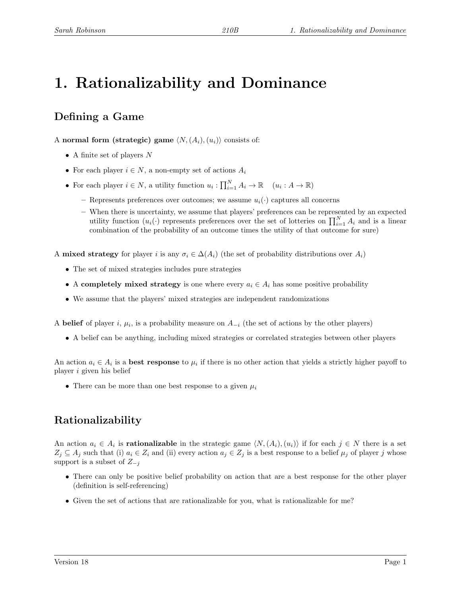# 1. Rationalizability and Dominance

# Defining a Game

A normal form (strategic) game  $\langle N,(A_i),(u_i)\rangle$  consists of:

- A finite set of players  $N$
- For each player  $i \in N$ , a non-empty set of actions  $A_i$
- For each player  $i \in N$ , a utility function  $u_i : \prod_{i=1}^N A_i \to \mathbb{R}$   $(u_i : A \to \mathbb{R})$ 
	- Represents preferences over outcomes; we assume  $u_i(\cdot)$  captures all concerns
	- When there is uncertainty, we assume that players' preferences can be represented by an expected utility function  $(u_i(\cdot))$  represents preferences over the set of lotteries on  $\prod_{i=1}^N A_i$  and is a linear combination of the probability of an outcome times the utility of that outcome for sure)

A **mixed strategy** for player i is any  $\sigma_i \in \Delta(A_i)$  (the set of probability distributions over  $A_i$ )

- The set of mixed strategies includes pure strategies
- A completely mixed strategy is one where every  $a_i \in A_i$  has some positive probability
- We assume that the players' mixed strategies are independent randomizations

A belief of player i,  $\mu_i$ , is a probability measure on  $A_{-i}$  (the set of actions by the other players)

• A belief can be anything, including mixed strategies or correlated strategies between other players

An action  $a_i \in A_i$  is a **best response** to  $\mu_i$  if there is no other action that yields a strictly higher payoff to player i given his belief

• There can be more than one best response to a given  $\mu_i$ 

# Rationalizability

An action  $a_i \in A_i$  is **rationalizable** in the strategic game  $\langle N,(A_i),(u_i)\rangle$  if for each  $j \in N$  there is a set  $Z_j \subseteq A_j$  such that (i)  $a_i \in Z_i$  and (ii) every action  $a_j \in Z_j$  is a best response to a belief  $\mu_j$  of player j whose support is a subset of  $Z_{-j}$ 

- There can only be positive belief probability on action that are a best response for the other player (definition is self-referencing)
- Given the set of actions that are rationalizable for you, what is rationalizable for me?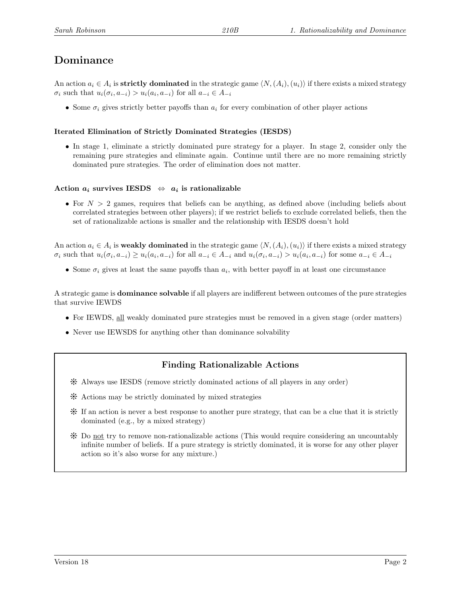## Dominance

An action  $a_i \in A_i$  is strictly dominated in the strategic game  $\langle N,(A_i),(u_i)\rangle$  if there exists a mixed strategy  $\sigma_i$  such that  $u_i(\sigma_i, a_{-i}) > u_i(a_i, a_{-i})$  for all  $a_{-i} \in A_{-i}$ 

• Some  $\sigma_i$  gives strictly better payoffs than  $a_i$  for every combination of other player actions

#### Iterated Elimination of Strictly Dominated Strategies (IESDS)

• In stage 1, eliminate a strictly dominated pure strategy for a player. In stage 2, consider only the remaining pure strategies and eliminate again. Continue until there are no more remaining strictly dominated pure strategies. The order of elimination does not matter.

#### Action  $a_i$  survives IESDS  $\Leftrightarrow a_i$  is rationalizable

• For  $N > 2$  games, requires that beliefs can be anything, as defined above (including beliefs about correlated strategies between other players); if we restrict beliefs to exclude correlated beliefs, then the set of rationalizable actions is smaller and the relationship with IESDS doesn't hold

An action  $a_i \in A_i$  is weakly dominated in the strategic game  $\langle N,(A_i),(u_i)\rangle$  if there exists a mixed strategy  $\sigma_i$  such that  $u_i(\sigma_i, a_{-i}) \geq u_i(a_i, a_{-i})$  for all  $a_{-i} \in A_{-i}$  and  $u_i(\sigma_i, a_{-i}) > u_i(a_i, a_{-i})$  for some  $a_{-i} \in A_{-i}$ 

• Some  $\sigma_i$  gives at least the same payoffs than  $a_i$ , with better payoff in at least one circumstance

A strategic game is dominance solvable if all players are indifferent between outcomes of the pure strategies that survive IEWDS

- For IEWDS, all weakly dominated pure strategies must be removed in a given stage (order matters)
- Never use IEWSDS for anything other than dominance solvability

### Finding Rationalizable Actions

- Y Always use IESDS (remove strictly dominated actions of all players in any order)
- $*$  Actions may be strictly dominated by mixed strategies
- Y If an action is never a best response to another pure strategy, that can be a clue that it is strictly dominated (e.g., by a mixed strategy)
- Y Do not try to remove non-rationalizable actions (This would require considering an uncountably infinite number of beliefs. If a pure strategy is strictly dominated, it is worse for any other player action so it's also worse for any mixture.)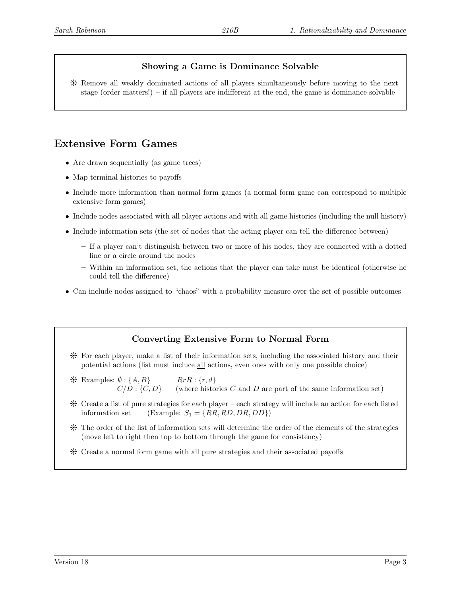## Showing a Game is Dominance Solvable

Y Remove all weakly dominated actions of all players simultaneously before moving to the next stage (order matters!) – if all players are indifferent at the end, the game is dominance solvable

# Extensive Form Games

- Are drawn sequentially (as game trees)
- Map terminal histories to payoffs
- Include more information than normal form games (a normal form game can correspond to multiple extensive form games)
- Include nodes associated with all player actions and with all game histories (including the null history)
- Include information sets (the set of nodes that the acting player can tell the difference between)
	- If a player can't distinguish between two or more of his nodes, they are connected with a dotted line or a circle around the nodes
	- Within an information set, the actions that the player can take must be identical (otherwise he could tell the difference)
- Can include nodes assigned to "chaos" with a probability measure over the set of possible outcomes

## Converting Extensive Form to Normal Form

- Y For each player, make a list of their information sets, including the associated history and their potential actions (list must incluce all actions, even ones with only one possible choice)
- $\mathcal{H}$  Examples:  $\emptyset$  : {A, B} RrR : {r, d}  $C/D$ :  $\{C, D\}$  (where histories C and D are part of the same information set)
- Y Create a list of pure strategies for each player each strategy will include an action for each listed information set  $(Example: S_1 = \{RR, RD, DR, DD\})$
- Y The order of the list of information sets will determine the order of the elements of the strategies (move left to right then top to bottom through the game for consistency)
- Y Create a normal form game with all pure strategies and their associated payoffs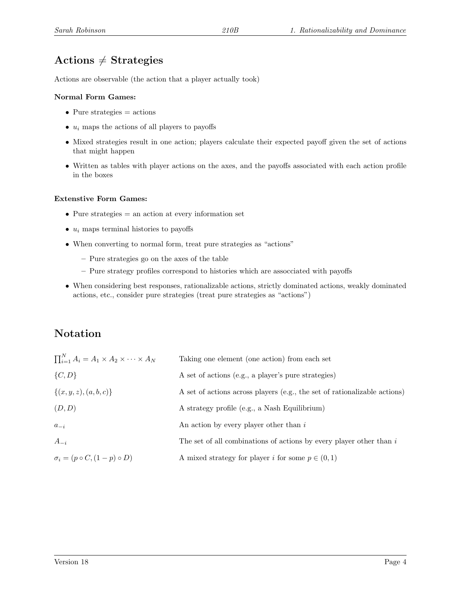# Actions  $\neq$  Strategies

Actions are observable (the action that a player actually took)

#### Normal Form Games:

- Pure strategies  $=$  actions
- $u_i$  maps the actions of all players to payoffs
- Mixed strategies result in one action; players calculate their expected payoff given the set of actions that might happen
- Written as tables with player actions on the axes, and the payoffs associated with each action profile in the boxes

#### Extenstive Form Games:

- Pure strategies  $=$  an action at every information set
- $u_i$  maps terminal histories to payoffs
- When converting to normal form, treat pure strategies as "actions"
	- Pure strategies go on the axes of the table
	- Pure strategy profiles correspond to histories which are assocciated with payoffs
- When considering best responses, rationalizable actions, strictly dominated actions, weakly dominated actions, etc., consider pure strategies (treat pure strategies as "actions")

## Notation

| $\prod_{i=1}^N A_i = A_1 \times A_2 \times \cdots \times A_N$ | Taking one element (one action) from each set                             |
|---------------------------------------------------------------|---------------------------------------------------------------------------|
| $\{C, D\}$                                                    | A set of actions (e.g., a player's pure strategies)                       |
| $\{(x, y, z), (a, b, c)\}\$                                   | A set of actions across players (e.g., the set of rationalizable actions) |
| (D,D)                                                         | A strategy profile (e.g., a Nash Equilibrium)                             |
| $a_{-i}$                                                      | An action by every player other than $i$                                  |
| $A_{-i}$                                                      | The set of all combinations of actions by every player other than $i$     |
| $\sigma_i = (p \circ C, (1-p) \circ D)$                       | A mixed strategy for player i for some $p \in (0,1)$                      |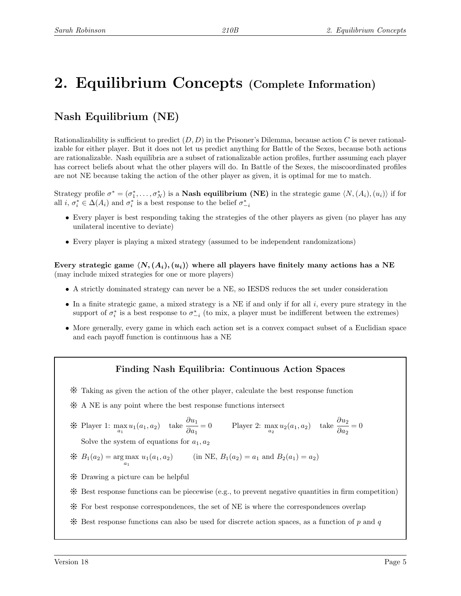# 2. Equilibrium Concepts (Complete Information)

# Nash Equilibrium (NE)

Rationalizability is sufficient to predict  $(D, D)$  in the Prisoner's Dilemma, because action C is never rationalizable for either player. But it does not let us predict anything for Battle of the Sexes, because both actions are rationalizable. Nash equilibria are a subset of rationalizable action profiles, further assuming each player has correct beliefs about what the other players will do. In Battle of the Sexes, the miscoordinated profiles are not NE because taking the action of the other player as given, it is optimal for me to match.

Strategy profile  $\sigma^* = (\sigma_1^*, \ldots, \sigma_N^*)$  is a **Nash equilibrium (NE)** in the strategic game  $\langle N, (A_i), (u_i) \rangle$  if for all  $i, \sigma_i^* \in \Delta(A_i)$  and  $\sigma_i^*$  is a best response to the belief  $\sigma_{-i}^*$ 

- Every player is best responding taking the strategies of the other players as given (no player has any unilateral incentive to deviate)
- Every player is playing a mixed strategy (assumed to be independent randomizations)

Every strategic game  $\langle N, (A_i), (u_i) \rangle$  where all players have finitely many actions has a NE (may include mixed strategies for one or more players)

- A strictly dominated strategy can never be a NE, so IESDS reduces the set under consideration
- In a finite strategic game, a mixed strategy is a NE if and only if for all  $i$ , every pure strategy in the support of  $\sigma_i^*$  is a best response to  $\sigma_{-i}^*$  (to mix, a player must be indifferent between the extremes)
- More generally, every game in which each action set is a convex compact subset of a Euclidian space and each payoff function is continuous has a NE

### Finding Nash Equilibria: Continuous Action Spaces

- Y Taking as given the action of the other player, calculate the best response function
- \* A NE is any point where the best response functions intersect

$$
\text{# Player 1: } \max_{a_1} u_1(a_1, a_2) \quad \text{take } \frac{\partial u_1}{\partial a_1} = 0 \qquad \text{Player 2: } \max_{a_2} u_2(a_1, a_2) \quad \text{take } \frac{\partial u_2}{\partial a_2} = 0
$$
\n
$$
\text{Solve the system of equations for } c, c, d.
$$

Solve the system of equations for  $a_1, a_2$ 

$$
\mathcal{H} \quad B_1(a_2) = \underset{a_1}{\text{arg max}} \ u_1(a_1, a_2) \qquad \text{(in NE, } B_1(a_2) = a_1 \text{ and } B_2(a_1) = a_2)
$$

- $\frac{1}{2}$  Drawing a picture can be helpful
- $*$  Best response functions can be piecewise (e.g., to prevent negative quantities in firm competition)
- Y For best response correspondences, the set of NE is where the correspondences overlap
- $*$  Best response functions can also be used for discrete action spaces, as a function of p and q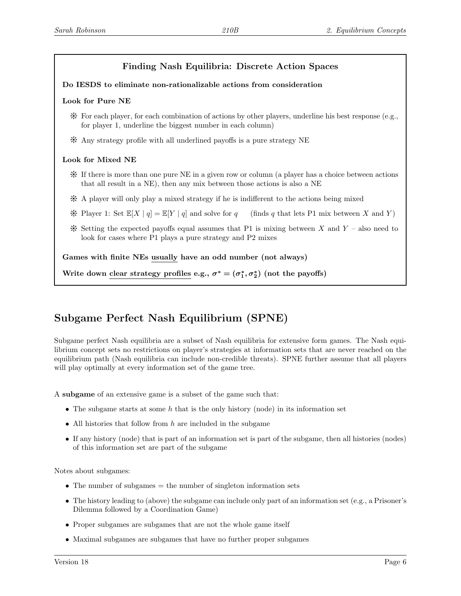## Finding Nash Equilibria: Discrete Action Spaces

#### Do IESDS to eliminate non-rationalizable actions from consideration

#### Look for Pure NE

- $*$  For each player, for each combination of actions by other players, underline his best response (e.g., for player 1, underline the biggest number in each column)
- Y Any strategy profile with all underlined payoffs is a pure strategy NE

#### Look for Mixed NE

- Y If there is more than one pure NE in a given row or column (a player has a choice between actions that all result in a NE), then any mix between those actions is also a NE
- Y A player will only play a mixed strategy if he is indifferent to the actions being mixed
- \* Player 1: Set  $\mathbb{E}[X \mid q] = \mathbb{E}[Y \mid q]$  and solve for q (finds q that lets P1 mix between X and Y)
- $*$  Setting the expected payoffs equal assumes that P1 is mixing between X and Y also need to look for cases where P1 plays a pure strategy and P2 mixes

Games with finite NEs usually have an odd number (not always)

Write down clear strategy profiles e.g.,  $\sigma^* = (\sigma_1^*, \sigma_2^*)$  (not the payoffs)

## Subgame Perfect Nash Equilibrium (SPNE)

Subgame perfect Nash equilibria are a subset of Nash equilibria for extensive form games. The Nash equilibrium concept sets no restrictions on player's strategies at information sets that are never reached on the equilibrium path (Nash equilibria can include non-credible threats). SPNE further assume that all players will play optimally at every information set of the game tree.

A subgame of an extensive game is a subset of the game such that:

- The subgame starts at some  $h$  that is the only history (node) in its information set
- All histories that follow from  $h$  are included in the subgame
- If any history (node) that is part of an information set is part of the subgame, then all histories (nodes) of this information set are part of the subgame

Notes about subgames:

- The number of subgames  $=$  the number of singleton information sets
- The history leading to (above) the subgame can include only part of an information set (e.g., a Prisoner's Dilemma followed by a Coordination Game)
- Proper subgames are subgames that are not the whole game itself
- Maximal subgames are subgames that have no further proper subgames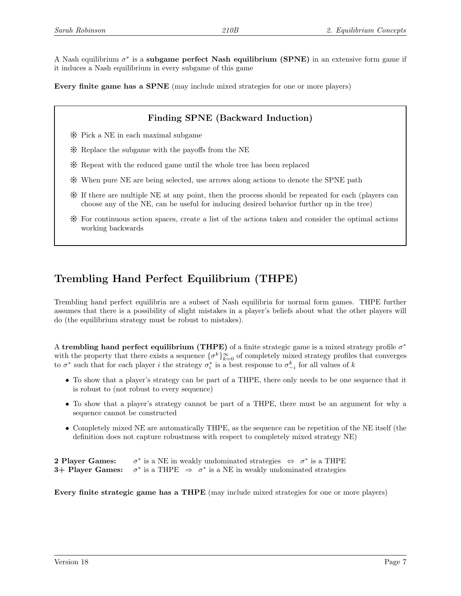A Nash equilibrium  $\sigma^*$  is a subgame perfect Nash equilibrium (SPNE) in an extensive form game if it induces a Nash equilibrium in every subgame of this game

Every finite game has a SPNE (may include mixed strategies for one or more players)

## Finding SPNE (Backward Induction)

- Y Pick a NE in each maximal subgame
- $*$  Replace the subgame with the payoffs from the NE
- Y Repeat with the reduced game until the whole tree has been replaced
- Y When pure NE are being selected, use arrows along actions to denote the SPNE path
- Y If there are multiple NE at any point, then the process should be repeated for each (players can choose any of the NE, can be useful for inducing desired behavior further up in the tree)
- Y For continuous action spaces, create a list of the actions taken and consider the optimal actions working backwards

# Trembling Hand Perfect Equilibrium (THPE)

Trembling hand perfect equilibria are a subset of Nash equilibria for normal form games. THPE further assumes that there is a possibility of slight mistakes in a player's beliefs about what the other players will do (the equilibrium strategy must be robust to mistakes).

A trembling hand perfect equilibrium (THPE) of a finite strategic game is a mixed strategy profile  $\sigma^*$ with the property that there exists a sequence  $\{\sigma^k\}_{k=0}^{\infty}$  of completely mixed strategy profiles that converges to  $\sigma^*$  such that for each player *i* the strategy  $\sigma_i^*$  is a best response to  $\sigma_{-i}^k$  for all values of k

- To show that a player's strategy can be part of a THPE, there only needs to be one sequence that it is robust to (not robust to every sequence)
- To show that a player's strategy cannot be part of a THPE, there must be an argument for why a sequence cannot be constructed
- Completely mixed NE are automatically THPE, as the sequence can be repetition of the NE itself (the definition does not capture robustmess with respect to completely mixed strategy NE)

2 Player Games: \* is a NE in weakly undominated strategies  $\Leftrightarrow \sigma^*$  is a THPE 3+ Player Games: \* is a THPE  $\Rightarrow \sigma^*$  is a NE in weakly undominated strategies

Every finite strategic game has a THPE (may include mixed strategies for one or more players)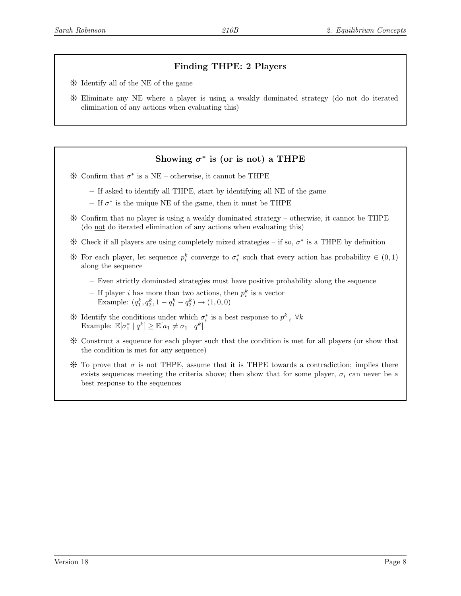## Finding THPE: 2 Players

- Y Identify all of the NE of the game
- Y Eliminate any NE where a player is using a weakly dominated strategy (do not do iterated elimination of any actions when evaluating this)

## Showing  $\sigma^*$  is (or is not) a THPE

- $*$  Confirm that  $\sigma^*$  is a NE otherwise, it cannot be THPE
	- If asked to identify all THPE, start by identifying all NE of the game
	- $-$  If  $\sigma^*$  is the unique NE of the game, then it must be THPE
- $\mathcal K$  Confirm that no player is using a weakly dominated strategy otherwise, it cannot be THPE (do not do iterated elimination of any actions when evaluating this)
- $*$  Check if all players are using completely mixed strategies if so,  $σ$ <sup>\*</sup> is a THPE by definition
- \* For each player, let sequence  $p_i^k$  converge to  $\sigma_i^*$  such that every action has probability  $\in (0,1)$ along the sequence
	- Even strictly dominated strategies must have positive probability along the sequence
	- If player *i* has more than two actions, then  $p_i^k$  is a vector Example:  $(q_1^k, q_2^k, 1 - q_1^k - q_2^k) \rightarrow (1, 0, 0)$
- $\mathcal$  \* Identify the conditions under which  $\sigma_i^*$  is a best response to  $p_{-i}^k$  ∀k Example:  $\mathbb{E}[\sigma_1^* | q^k] \geq \mathbb{E}[a_1 \neq \sigma_1 | q^k]$
- Y Construct a sequence for each player such that the condition is met for all players (or show that the condition is met for any sequence)
- $\mathcal K$  To prove that  $\sigma$  is not THPE, assume that it is THPE towards a contradiction; implies there exists sequences meeting the criteria above; then show that for some player,  $\sigma_i$  can never be a best response to the sequences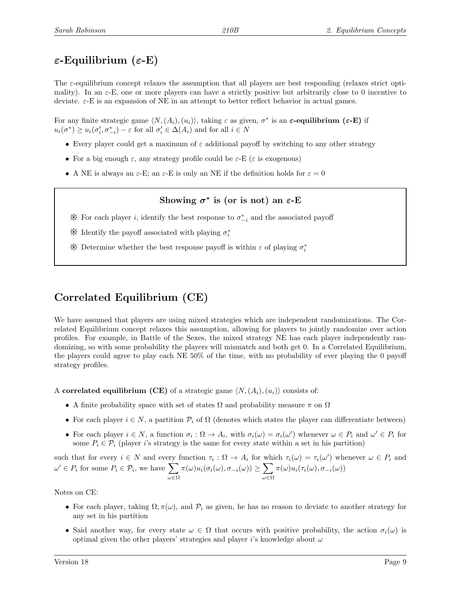# $\varepsilon$ -Equilibrium ( $\varepsilon$ -E)

The  $\varepsilon$ -equilibrium concept relaxes the assumption that all players are best responding (relaxes strict optimality). In an  $\varepsilon$ -E, one or more players can have a strictly positive but arbitrarily close to 0 incentive to deviate.  $\varepsilon$ -E is an expansion of NE in an attempt to better reflect behavior in actual games.

For any finite strategic game  $\langle N,(A_i),(u_i)\rangle$ , taking  $\varepsilon$  as given,  $\sigma^*$  is an  $\varepsilon$ -equilibrium ( $\varepsilon$ -E) if  $u_i(\sigma^*) \ge u_i(\sigma'_i, \sigma^*_{-i}) - \varepsilon$  for all  $\sigma'_i \in \Delta(A_i)$  and for all  $i \in N$ 

- Every player could get a maximum of  $\varepsilon$  additional payoff by switching to any other strategy
- For a big enough  $\varepsilon$ , any strategy profile could be  $\varepsilon$ -E ( $\varepsilon$  is exogenous)
- A NE is always an  $\varepsilon$ -E; an  $\varepsilon$ -E is only an NE if the definition holds for  $\varepsilon = 0$

## Showing  $\sigma^*$  is (or is not) an  $\varepsilon$ -E

- $*$  For each player *i*, identify the best response to  $\sigma_{-i}^*$  and the associated payoff
- $\raisebox{.15\baselineskip}{\text{\Large\ensuremath{\ast}}}$  Identify the payoff associated with playing<br>  $\sigma_i^*$
- $\boldsymbol{\divideontimes}$  Determine whether the best response payoff is within  $\varepsilon$  of playing  $\sigma_i^*$

# Correlated Equilibrium (CE)

We have assumed that players are using mixed strategies which are independent randomizations. The Correlated Equilibrium concept relaxes this assumption, allowing for players to jointly randomize over action profiles. For example, in Battle of the Sexes, the mixed strategy NE has each player independently randomizing, so with some probability the players will mismatch and both get 0. In a Correlated Equilibrium, the players could agree to play each NE 50% of the time, with no probability of ever playing the 0 payoff strategy profiles.

A correlated equilibrium (CE) of a strategic game  $\langle N,(A_i),(u_i)\rangle$  consists of:

- A finite probability space with set of states  $\Omega$  and probability measure  $\pi$  on  $\Omega$
- For each player  $i \in N$ , a partition  $\mathcal{P}_i$  of  $\Omega$  (denotes which states the player can differentiate between)
- For each player  $i \in N$ , a function  $\sigma_i : \Omega \to A_i$ , with  $\sigma_i(\omega) = \sigma_i(\omega')$  whenever  $\omega \in P_i$  and  $\omega' \in P_i$  for some  $P_i \in \mathcal{P}_i$  (player i's strategy is the same for every state within a set in his partition)

such that for every  $i \in N$  and every function  $\tau_i : \Omega \to A_i$  for which  $\tau_i(\omega) = \tau_i(\omega')$  whenever  $\omega \in P_i$  and  $\omega' \in P_i$  for some  $P_i \in \mathcal{P}_i$ , we have  $\sum$ ω∈Ω  $\pi(\omega)u_i(\sigma_i(\omega), \sigma_{-i}(\omega)) \geq \sum$ ω∈Ω  $\pi(\omega)u_i(\tau_i(\omega),\sigma_{-i}(\omega))$ 

Notes on CE:

- For each player, taking  $\Omega, \pi(\omega)$ , and  $\mathcal{P}_i$  as given, he has no reason to deviate to another strategy for any set in his partition
- Said another way, for every state  $\omega \in \Omega$  that occurs with positive probability, the action  $\sigma_i(\omega)$  is optimal given the other players' strategies and player i's knowledge about  $\omega$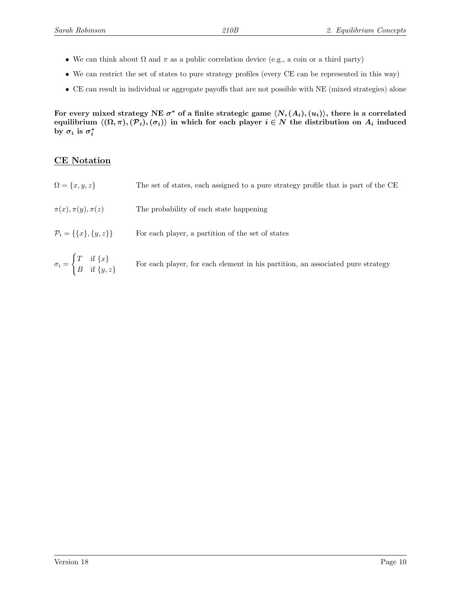- We can think about  $\Omega$  and  $\pi$  as a public correlation device (e.g., a coin or a third party)
- We can restrict the set of states to pure strategy profiles (every CE can be represented in this way)
- CE can result in individual or aggregate payoffs that are not possible with NE (mixed strategies) alone

For every mixed strategy NE  $\sigma^*$  of a finite strategic game  $\langle N, (A_i), (u_i) \rangle,$  there is a correlated equilibrium  $\langle (Ω, π), (P<sub>i</sub>), (σ<sub>i</sub>)\rangle$  in which for each player  $i ∈ N$  the distribution on  $A<sub>i</sub>$  induced by  $\sigma_i$  is  $\sigma_i^*$ 

### CE Notation

B if  $\{y, z\}$ 

 $\Omega = \{x, y, z\}$  The set of states, each assigned to a pure strategy profile that is part of the CE  $\pi(x), \pi(y), \pi(z)$  The probability of each state happening  $\mathcal{P}_i = \{\{x\}, \{y, z\}\}\$  For each player, a partition of the set of states  $\sigma_i =$  $\int T$  if  $\{x\}$ For each player, for each element in his partition, an associated pure strategy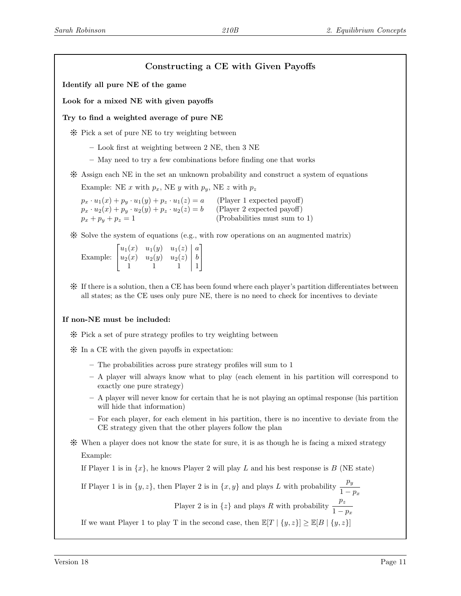## Constructing a CE with Given Payoffs

Identify all pure NE of the game

Look for a mixed NE with given payoffs

Try to find a weighted average of pure NE

Y Pick a set of pure NE to try weighting between

- Look first at weighting between 2 NE, then 3 NE
- May need to try a few combinations before finding one that works
- $*$  Assign each NE in the set an unknown probability and construct a system of equations Example: NE x with  $p_x$ , NE y with  $p_y$ , NE z with  $p_z$

 $p_x \cdot u_1(x) + p_y \cdot u_1(y) + p_z \cdot u_1(z) = a$  (Player 1 expected payoff)<br>  $p_x \cdot u_2(x) + p_y \cdot u_2(y) + p_z \cdot u_2(z) = b$  (Player 2 expected payoff)  $p_x \cdot u_2(x) + p_y \cdot u_2(y) + p_z \cdot u_2(z) = b$  $p_x + p_y + p_z = 1$  (Probabilities must sum to 1)

 $*$  Solve the system of equations (e.g., with row operations on an augmented matrix)

Example:  $\sqrt{ }$  $\overline{\phantom{a}}$  $u_1(x)$   $u_1(y)$   $u_1(z)$  | a  $u_2(x)$   $u_2(y)$   $u_2(z)$  | b  $1 \t 1 \t 1 \t 1$ 1  $\overline{1}$ 

Y If there is a solution, then a CE has been found where each player's partition differentiates between all states; as the CE uses only pure NE, there is no need to check for incentives to deviate

#### If non-NE must be included:

- Y Pick a set of pure strategy profiles to try weighting between
- $\frac{1}{2}$  In a CE with the given payoffs in expectation:
	- The probabilities across pure strategy profiles will sum to 1
	- A player will always know what to play (each element in his partition will correspond to exactly one pure strategy)
	- A player will never know for certain that he is not playing an optimal response (his partition will hide that information)
	- For each player, for each element in his partition, there is no incentive to deviate from the CE strategy given that the other players follow the plan
- Y When a player does not know the state for sure, it is as though he is facing a mixed strategy Example:

If Player 1 is in  $\{x\}$ , he knows Player 2 will play L and his best response is B (NE state)

If Player 1 is in  $\{y, z\}$ , then Player 2 is in  $\{x, y\}$  and plays L with probability  $\frac{p_y}{\sqrt{y}}$  $1-p_x$ 

Player 2 is in  $\{z\}$  and plays R with probability  $\frac{p_z}{q}$  $1-p_x$ 

If we want Player 1 to play T in the second case, then  $\mathbb{E}[T | \{y, z\}] \geq \mathbb{E}[B | \{y, z\}]$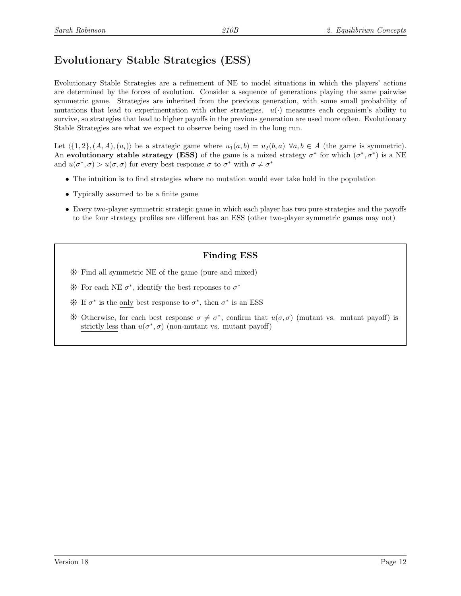# Evolutionary Stable Strategies (ESS)

Evolutionary Stable Strategies are a refinement of NE to model situations in which the players' actions are determined by the forces of evolution. Consider a sequence of generations playing the same pairwise symmetric game. Strategies are inherited from the previous generation, with some small probability of mutations that lead to experimentation with other strategies.  $u(\cdot)$  measures each organism's ability to survive, so strategies that lead to higher payoffs in the previous generation are used more often. Evolutionary Stable Strategies are what we expect to observe being used in the long run.

Let  $\{1, 2\}, (A, A), (u_i)\}\)$  be a strategic game where  $u_1(a, b) = u_2(b, a)\,\forall a, b \in A$  (the game is symmetric). An evolutionary stable strategy (ESS) of the game is a mixed strategy  $\sigma^*$  for which  $(\sigma^*, \sigma^*)$  is a NE and  $u(\sigma^*, \sigma) > u(\sigma, \sigma)$  for every best response  $\sigma$  to  $\sigma^*$  with  $\sigma \neq \sigma^*$ 

- The intuition is to find strategies where no mutation would ever take hold in the population
- Typically assumed to be a finite game
- Every two-player symmetric strategic game in which each player has two pure strategies and the payoffs to the four strategy profiles are different has an ESS (other two-player symmetric games may not)

### Finding ESS

- Y Find all symmetric NE of the game (pure and mixed)
- $*$  For each NE  $σ^*$ , identify the best reponses to  $σ^*$
- $*$  If  $σ$ <sup>\*</sup> is the only best response to  $σ$ <sup>\*</sup>, then  $σ$ <sup>\*</sup> is an ESS
- \* Otherwise, for each best response  $\sigma \neq \sigma^*$ , confirm that  $u(\sigma, \sigma)$  (mutant vs. mutant payoff) is strictly less than  $u(\sigma^*, \sigma)$  (non-mutant vs. mutant payoff)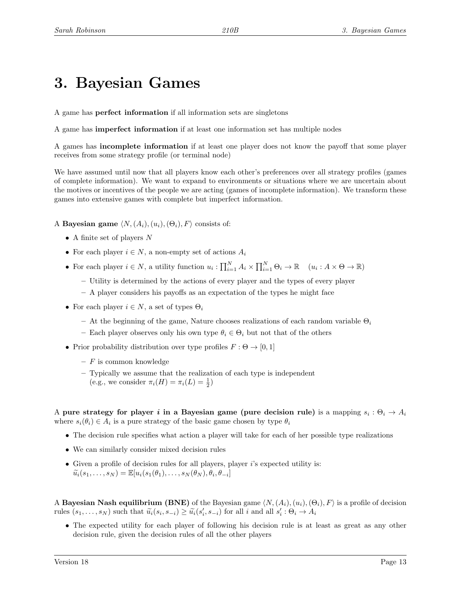# 3. Bayesian Games

A game has perfect information if all information sets are singletons

A game has imperfect information if at least one information set has multiple nodes

A games has incomplete information if at least one player does not know the payoff that some player receives from some strategy profile (or terminal node)

We have assumed until now that all players know each other's preferences over all strategy profiles (games of complete information). We want to expand to environments or situations where we are uncertain about the motives or incentives of the people we are acting (games of incomplete information). We transform these games into extensive games with complete but imperfect information.

A Bayesian game  $\langle N,(A_i),(u_i),(\Theta_i), F \rangle$  consists of:

- A finite set of players  $N$
- For each player  $i \in N$ , a non-empty set of actions  $A_i$
- For each player  $i \in N$ , a utility function  $u_i : \prod_{i=1}^N A_i \times \prod_{i=1}^N \Theta_i \to \mathbb{R}$   $(u_i : A \times \Theta \to \mathbb{R})$ 
	- Utility is determined by the actions of every player and the types of every player
	- A player considers his payoffs as an expectation of the types he might face
- For each player  $i \in N$ , a set of types  $\Theta_i$ 
	- $-$  At the beginning of the game, Nature chooses realizations of each random variable  $\Theta_i$
	- Each player observes only his own type  $\theta_i \in \Theta_i$  but not that of the others
- Prior probability distribution over type profiles  $F : \Theta \to [0, 1]$ 
	- $-$  F is common knowledge
	- Typically we assume that the realization of each type is independent
	- (e.g., we consider  $\pi_i(H) = \pi_i(L) = \frac{1}{2}$ )

A pure strategy for player i in a Bayesian game (pure decision rule) is a mapping  $s_i: \Theta_i \to A_i$ where  $s_i(\theta_i) \in A_i$  is a pure strategy of the basic game chosen by type  $\theta_i$ 

- The decision rule specifies what action a player will take for each of her possible type realizations
- We can similarly consider mixed decision rules
- Given a profile of decision rules for all players, player  $i$ 's expected utility is:  $\widetilde{u_i}(s_1,\ldots,s_N) = \mathbb{E}[u_i(s_1(\theta_1),\ldots,s_N(\theta_N),\theta_i,\theta_{-i}])$

A **Bayesian Nash equilibrium (BNE)** of the Bayesian game  $\langle N,(A_i),(u_i),(\Theta_i),F\rangle$  is a profile of decision rules  $(s_1, \ldots, s_N)$  such that  $\widetilde{u}_i(s_i, s_{-i}) \ge \widetilde{u}_i(s'_i, s_{-i})$  for all i and all  $s'_i : \Theta_i \to A_i$ 

• The expected utility for each player of following his decision rule is at least as great as any other decision rule, given the decision rules of all the other players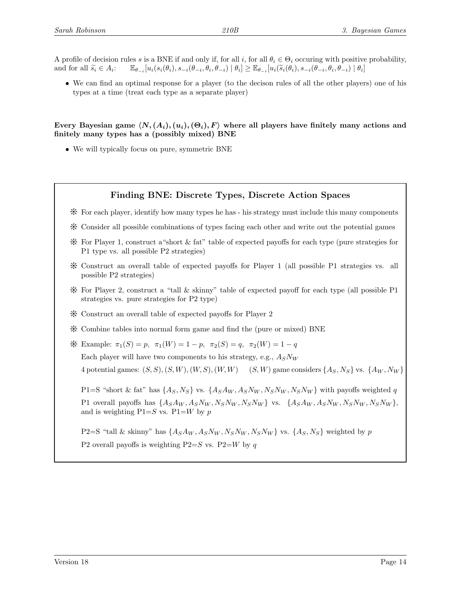A profile of decision rules s is a BNE if and only if, for all i, for all  $\theta_i \in \Theta_i$  occuring with positive probability, and for all  $\widetilde{s_i} \in A_i$ :  $\mathbb{E}_{\theta_{-i}}[u_i(s_i(\theta_i), s_{-i}(\theta_{-i}, \theta_i, \theta_{-i}) | \theta_i] \geq \mathbb{E}_{\theta_{-i}}[u_i(\widetilde{s}_i(\theta_i), s_{-i}(\theta_{-i}, \theta_i, \theta_{-i}) | \theta_i]$ 

• We can find an optimal response for a player (to the decison rules of all the other players) one of his types at a time (treat each type as a separate player)

Every Bayesian game  $\langle N, (A_i), (\theta_i), F \rangle$  where all players have finitely many actions and finitely many types has a (possibly mixed) BNE

• We will typically focus on pure, symmetric BNE

#### Finding BNE: Discrete Types, Discrete Action Spaces

- $*$  For each player, identify how many types he has his strategy must include this many components
- Y Consider all possible combinations of types facing each other and write out the potential games
- $*$  For Player 1, construct a "short  $\&$  fat" table of expected payoffs for each type (pure strategies for P1 type vs. all possible P2 strategies)
- Y Construct an overall table of expected payoffs for Player 1 (all possible P1 strategies vs. all possible P2 strategies)
- Y For Player 2, construct a "tall & skinny" table of expected payoff for each type (all possible P1 strategies vs. pure strategies for P2 type)
- $\boldsymbol{\divideontimes}$  Construct an overall table of expected payoffs for Player 2
- Y Combine tables into normal form game and find the (pure or mixed) BNE
- $\mathcal{H}$  Example:  $\pi_1(S) = p$ ,  $\pi_1(W) = 1 p$ ,  $\pi_2(S) = q$ ,  $\pi_2(W) = 1 q$

Each player will have two components to his strategy, e.g.,  $A_S N_W$ 

4 potential games:  $(S, S), (S, W), (W, S), (W, W)$  (S, W) game considers  $\{A_S, N_S\}$  vs.  $\{A_W, N_W\}$ 

P1=S "short & fat" has  $\{A_S, N_S\}$  vs.  $\{A_S A_W, A_S N_W, N_S N_W, N_S N_W\}$  with payoffs weighted q P1 overall payoffs has  $\{A_S A_W, A_S N_W, N_S N_W, N_S N_W\}$  vs.  $\{A_S A_W, A_S N_W, N_S N_W, N_S N_W\}$ , and is weighting  $P1=S$  vs.  $P1=W$  by p

P2=S "tall & skinny" has  $\{A_S A_W, A_S N_W, N_S N_W, N_S N_W\}$  vs.  $\{A_S, N_S\}$  weighted by p P2 overall payoffs is weighting P2=S vs. P2=W by q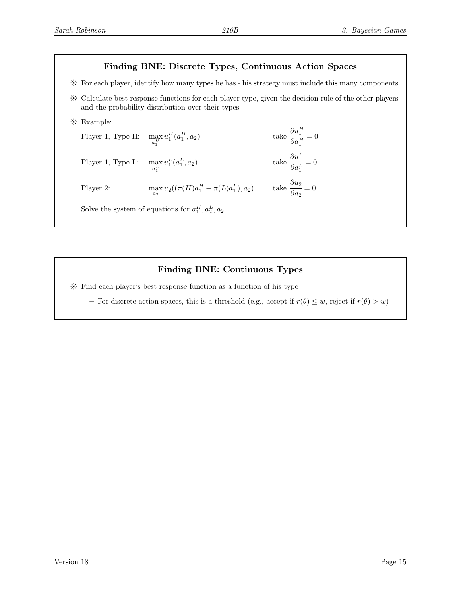## Finding BNE: Discrete Types, Continuous Action Spaces

 $*$  For each player, identify how many types he has - his strategy must include this many components

Y Calculate best response functions for each player type, given the decision rule of the other players and the probability distribution over their types

> $\partial u_1^H$  $\partial a_1^H$

 $\partial a_1^L$ 

 $= 0$ 

 $= 0$ 

= 0

Y Example:

Player 1, Type H:  $\max_{a_1^H}$  $u_1^H(a_1^H)$  $(a_2)$  take Player 1, Type L:  $\max_{a_1^L}$  $u_1^L(a_1^L)$  $(a_2)$  take  $\frac{\partial u_1^L}{\partial L}$ 

Player 2: 
$$
\max_{a_2} u_2((\pi(H)a_1^H + \pi(L)a_1^L), a_2) \quad \text{take } \frac{\partial u_2}{\partial a_2} =
$$

Solve the system of equations for  $a_1^H, a_2^L, a_2$ 

## Finding BNE: Continuous Types

Y Find each player's best response function as a function of his type

– For discrete action spaces, this is a threshold (e.g., accept if  $r(\theta) \leq w$ , reject if  $r(\theta) > w$ )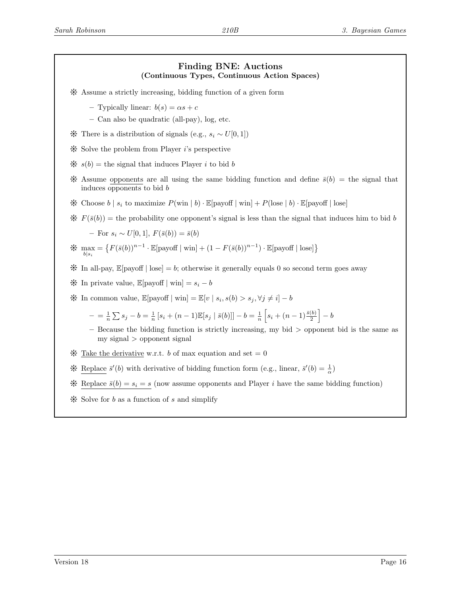#### Finding BNE: Auctions (Continuous Types, Continuous Action Spaces)

- Y Assume a strictly increasing, bidding function of a given form
	- Typically linear:  $b(s) = \alpha s + c$
	- Can also be quadratic (all-pay), log, etc.
- $\mathcal$  There is a distribution of signals (e.g.,  $s_i \sim U[0, 1]$ )
- $*$  Solve the problem from Player *i*'s perspective
- $\mathcal{H} s(b) =$  the signal that induces Player i to bid b
- \* Assume opponents are all using the same bidding function and define  $\bar{s}(b) =$  the signal that induces opponents to bid b
- \* Choose  $b \mid s_i$  to maximize  $P(\text{win} \mid b) \cdot \mathbb{E}[\text{payoff} \mid \text{win}] + P(\text{lose} \mid b) \cdot \mathbb{E}[\text{payoff} \mid \text{lose}]$
- $\mathcal{F}(F(\bar{s}(b)))$  = the probability one opponent's signal is less than the signal that induces him to bid b

– For  $s_i \sim U[0,1], F(\bar{s}(b)) = \bar{s}(b)$ 

$$
\mathcal{K} \max_{b|s_i} = \left\{ F(\bar{s}(b))^{n-1} \cdot \mathbb{E}[\text{payoff} \mid \text{win}] + (1 - F(\bar{s}(b))^{n-1}) \cdot \mathbb{E}[\text{payoff} \mid \text{lose}] \right\}
$$

- $\mathcal K$  In all-pay,  $\mathbb E[\text{payoff} \mid \text{lose}] = b$ ; otherwise it generally equals 0 so second term goes away
- $\mathcal$  In private value,  $\mathbb{E}[\text{payoff} \mid \text{win}] = s_i b$
- $\mathcal$  In common value,  $\mathbb{E}[\text{payoff} \mid \text{win}] = \mathbb{E}[v \mid s_i, s(b) > s_j, \forall j \neq i] b$ 
	- $= \frac{1}{n} \sum s_j b = \frac{1}{n} [s_i + (n-1) \mathbb{E}[s_j | \bar{s}(b)]] b = \frac{1}{n} [s_i + (n-1)\frac{\bar{s}(b)}{2}] b$
	- $-$  Because the bidding function is strictly increasing, my bid  $>$  opponent bid is the same as my signal > opponent signal
- $\mathcal K$  Take the derivative w.r.t. b of max equation and set = 0
- \* Replace  $\bar{s}'(b)$  with derivative of bidding function form (e.g., linear,  $\bar{s}'(b) = \frac{1}{\alpha}$ )
- \* Replace  $\bar{s}(b) = s_i = s$  (now assume opponents and Player *i* have the same bidding function)
- $\frac{1}{2}$  Solve for b as a function of s and simplify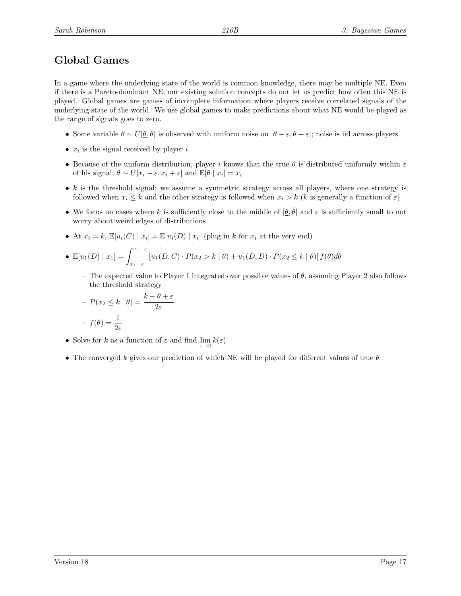# Global Games

In a game where the underlying state of the world is common knowledge, there may be multiple NE. Even if there is a Pareto-dominant NE, our existing solution concepts do not let us predict how often this NE is played. Global games are games of incomplete information where players receive correlated signals of the underlying state of the world. We use global games to make predictions about what NE would be played as the range of signals goes to zero.

- Some variable  $\theta \sim U[\underline{\theta}, \overline{\theta}]$  is observed with uniform noise on  $[\theta \varepsilon, \theta + \varepsilon]$ ; noise is iid across players
- $x_i$  is the signal received by player i
- Because of the uniform distribution, player i knows that the true  $\theta$  is distributed uniformly within  $\varepsilon$ of his signal;  $\theta \sim U[x_i - \varepsilon, x_i + \varepsilon]$  and  $\mathbb{E}[\theta \mid x_i] = x_i$
- $k$  is the threshold signal; we assume a symmetric strategy across all players, where one strategy is followed when  $x_i \leq k$  and the other strategy is followed when  $x_i > k$  (k is generally a function of  $\varepsilon$ )
- We focus on cases where k is sufficiently close to the middle of  $[\underline{\theta}, \overline{\theta}]$  and  $\varepsilon$  is sufficiently small to not worry about weird edges of distributions
- At  $x_i = k$ ,  $\mathbb{E}[u_i(C) | x_i] = \mathbb{E}[u_i(D) | x_i]$  (plug in k for  $x_i$  at the very end)

• 
$$
\mathbb{E}[u_1(D) | x_1] = \int_{x_1-\varepsilon}^{x_1+\varepsilon} [u_1(D, C) \cdot P(x_2 > k | \theta) + u_1(D, D) \cdot P(x_2 \le k | \theta)] f(\theta) d\theta
$$

– The expected value to Player 1 integrated over possible values of  $\theta$ , assuming Player 2 also follows the threshold strategy

$$
- P(x_2 \le k \mid \theta) = \frac{k - \theta + \varepsilon}{2\varepsilon}
$$

$$
- f(\theta) = \frac{1}{2\varepsilon}
$$

- Solve for k as a function of  $\varepsilon$  and find  $\lim_{\varepsilon \to 0} k(\varepsilon)$
- The converged k gives our prediction of which NE will be played for different values of true  $\theta$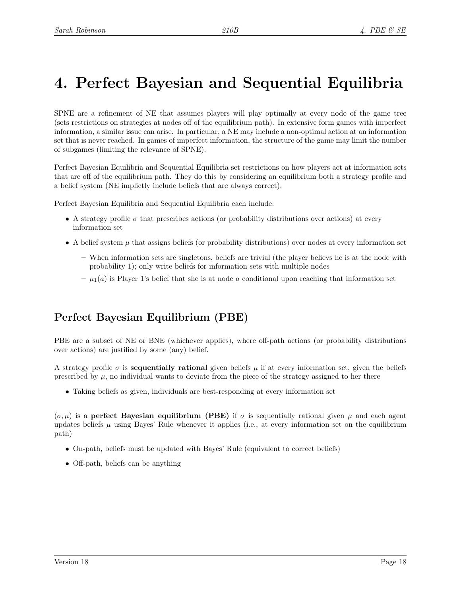# 4. Perfect Bayesian and Sequential Equilibria

SPNE are a refinement of NE that assumes players will play optimally at every node of the game tree (sets restrictions on strategies at nodes off of the equilibrium path). In extensive form games with imperfect information, a similar issue can arise. In particular, a NE may include a non-optimal action at an information set that is never reached. In games of imperfect information, the structure of the game may limit the number of subgames (limiting the relevance of SPNE).

Perfect Bayesian Equilibria and Sequential Equilibria set restrictions on how players act at information sets that are off of the equilibrium path. They do this by considering an equilibrium both a strategy profile and a belief system (NE implictly include beliefs that are always correct).

Perfect Bayesian Equilibria and Sequential Equilibria each include:

- A strategy profile  $\sigma$  that prescribes actions (or probability distributions over actions) at every information set
- A belief system  $\mu$  that assigns beliefs (or probability distributions) over nodes at every information set
	- When information sets are singletons, beliefs are trivial (the player believs he is at the node with probability 1); only write beliefs for information sets with multiple nodes
	- $-\mu_1(a)$  is Player 1's belief that she is at node a conditional upon reaching that information set

# Perfect Bayesian Equilibrium (PBE)

PBE are a subset of NE or BNE (whichever applies), where off-path actions (or probability distributions over actions) are justified by some (any) belief.

A strategy profile  $\sigma$  is **sequentially rational** given beliefs  $\mu$  if at every information set, given the beliefs prescribed by  $\mu$ , no individual wants to deviate from the piece of the strategy assigned to her there

• Taking beliefs as given, individuals are best-responding at every information set

 $(\sigma, \mu)$  is a **perfect Bayesian equilibrium (PBE)** if  $\sigma$  is sequentially rational given  $\mu$  and each agent updates beliefs  $\mu$  using Bayes' Rule whenever it applies (i.e., at every information set on the equilibrium path)

- On-path, beliefs must be updated with Bayes' Rule (equivalent to correct beliefs)
- Off-path, beliefs can be anything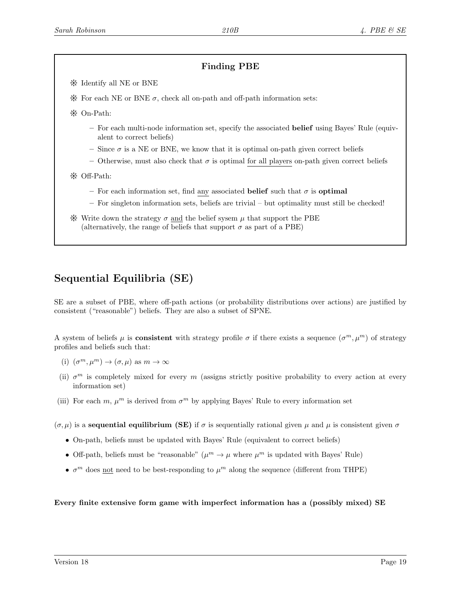## Finding PBE

- Y Identify all NE or BNE
- $\frac{1}{2}$  For each NE or BNE  $\sigma$ , check all on-path and off-path information sets:
- Y On-Path:
	- For each multi-node information set, specify the associated belief using Bayes' Rule (equivalent to correct beliefs)
	- Since  $\sigma$  is a NE or BNE, we know that it is optimal on-path given correct beliefs
	- Otherwise, must also check that  $\sigma$  is optimal for all players on-path given correct beliefs
- Y Off-Path:
	- For each information set, find any associated belief such that  $\sigma$  is optimal
	- For singleton information sets, beliefs are trivial but optimality must still be checked!
- $\mathcal$ : Write down the strategy  $\sigma$  and the belief sysem  $\mu$  that support the PBE (alternatively, the range of beliefs that support  $\sigma$  as part of a PBE)

# Sequential Equilibria (SE)

SE are a subset of PBE, where off-path actions (or probability distributions over actions) are justified by consistent ("reasonable") beliefs. They are also a subset of SPNE.

A system of beliefs  $\mu$  is **consistent** with strategy profile  $\sigma$  if there exists a sequence  $(\sigma^m, \mu^m)$  of strategy profiles and beliefs such that:

- (i)  $(\sigma^m, \mu^m) \to (\sigma, \mu)$  as  $m \to \infty$
- (ii)  $\sigma^m$  is completely mixed for every m (assigns strictly positive probability to every action at every information set)
- (iii) For each m,  $\mu^m$  is derived from  $\sigma^m$  by applying Bayes' Rule to every information set

 $(\sigma, \mu)$  is a **sequential equilibrium (SE)** if  $\sigma$  is sequentially rational given  $\mu$  and  $\mu$  is consistent given  $\sigma$ 

- On-path, beliefs must be updated with Bayes' Rule (equivalent to correct beliefs)
- Off-path, beliefs must be "reasonable"  $(\mu^m \to \mu$  where  $\mu^m$  is updated with Bayes' Rule)
- $\bullet$   $\sigma^m$  does <u>not</u> need to be best-responding to  $\mu^m$  along the sequence (different from THPE)

#### Every finite extensive form game with imperfect information has a (possibly mixed) SE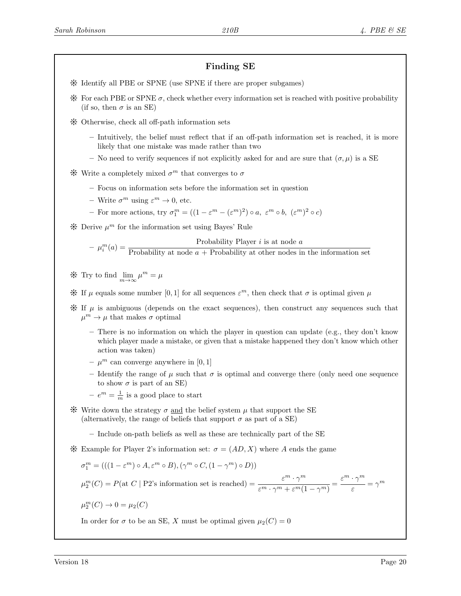## Finding SE

- Y Identify all PBE or SPNE (use SPNE if there are proper subgames)
- $*$  For each PBE or SPNE  $\sigma$ , check whether every information set is reached with positive probability (if so, then  $\sigma$  is an SE)
- Y Otherwise, check all off-path information sets
	- Intuitively, the belief must reflect that if an off-path information set is reached, it is more likely that one mistake was made rather than two
	- No need to verify sequences if not explicitly asked for and are sure that  $(\sigma, \mu)$  is a SE
- $\mathcal$ {H} Write a completely mixed  $\sigma^m$  that converges to  $\sigma$ 
	- Focus on information sets before the information set in question
	- Write  $\sigma^m$  using  $\varepsilon^m \to 0$ , etc.
	- For more actions, try  $\sigma_1^m = ((1 \varepsilon^m (\varepsilon^m)^2) \circ a, \varepsilon^m \circ b, (\varepsilon^m)^2 \circ c)$

 $*$  Derive  $\mu^m$  for the information set using Bayes' Rule

$$
-\mu_i^m(a) = \frac{\text{Probability Player } i \text{ is at node } a}{\text{Probability at node } a + \text{Probability at other nodes in the information set}}
$$

- $\text{# Try to find } \lim_{m \to \infty} \mu^m = \mu$
- $\mathcal$  If  $\mu$  equals some number [0, 1] for all sequences  $\varepsilon^m$ , then check that  $\sigma$  is optimal given  $\mu$
- $\mathcal H$  If  $\mu$  is ambiguous (depends on the exact sequences), then construct any sequences such that  $\mu^m \to \mu$  that makes  $\sigma$  optimal
	- There is no information on which the player in question can update (e.g., they don't know which player made a mistake, or given that a mistake happened they don't know which other action was taken)
	- $\mu^m$  can converge anywhere in [0, 1]
	- Identify the range of  $\mu$  such that  $\sigma$  is optimal and converge there (only need one sequence to show  $\sigma$  is part of an SE)
	- $-e^m = \frac{1}{m}$  is a good place to start
- $\mathcal$ : Write down the strategy  $\sigma$  and the belief system  $\mu$  that support the SE (alternatively, the range of beliefs that support  $\sigma$  as part of a SE)
	- Include on-path beliefs as well as these are technically part of the SE
- \* Example for Player 2's information set:  $\sigma = (AD, X)$  where A ends the game

$$
\sigma_1^m = (((1 - \varepsilon^m) \circ A, \varepsilon^m \circ B), (\gamma^m \circ C, (1 - \gamma^m) \circ D))
$$

 $\mu_2^m(C) = P(\text{at } C \mid P2\text{'s information set is reached}) = \frac{\varepsilon^m \cdot \gamma^m}{\varepsilon^m \cdot \varepsilon^m \cdot \varepsilon^m}$  $\frac{\varepsilon^m\cdot\gamma^m}{\varepsilon^m\cdot\gamma^m+\varepsilon^m(1-\gamma^m)}=\frac{\varepsilon^m\cdot\gamma^m}{\varepsilon}$  $\frac{1}{\varepsilon} = \gamma^m$ 

$$
\mu_2^m(C) \to 0 = \mu_2(C)
$$

In order for  $\sigma$  to be an SE, X must be optimal given  $\mu_2(C) = 0$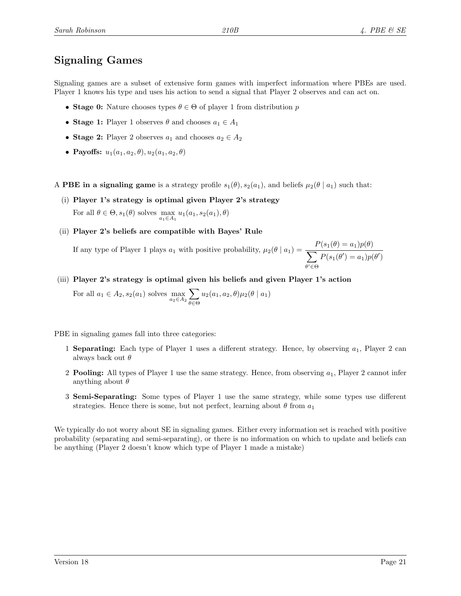# Signaling Games

Signaling games are a subset of extensive form games with imperfect information where PBEs are used. Player 1 knows his type and uses his action to send a signal that Player 2 observes and can act on.

- Stage 0: Nature chooses types  $\theta \in \Theta$  of player 1 from distribution p
- Stage 1: Player 1 observes  $\theta$  and chooses  $a_1 \in A_1$
- Stage 2: Player 2 observes  $a_1$  and chooses  $a_2 \in A_2$
- Payoffs:  $u_1(a_1, a_2, \theta), u_2(a_1, a_2, \theta)$
- A PBE in a signaling game is a strategy profile  $s_1(\theta), s_2(a_1)$ , and beliefs  $\mu_2(\theta \mid a_1)$  such that:
	- (i) Player 1's strategy is optimal given Player 2's strategy For all  $\theta \in \Theta$ ,  $s_1(\theta)$  solves  $\max_{a_1 \in A_1} u_1(a_1, s_2(a_1), \theta)$
	- (ii) Player 2's beliefs are compatible with Bayes' Rule

If any type of Player 1 plays  $a_1$  with positive probability,  $\mu_2(\theta \mid a_1) = \frac{P(s_1(\theta) = a_1)p(\theta)}{\sum_{i=1}^n a_i}$  $\sum$  $\theta' \in \Theta$  $P(s_1(\theta') = a_1)p(\theta')$ 

(iii) Player 2's strategy is optimal given his beliefs and given Player 1's action For all  $a_1 \in A_2$ ,  $s_2(a_1)$  solves  $\max_{a_2 \in A_2}$  $\sum$  $u_2(a_1, a_2, \theta) \mu_2(\theta \mid a_1)$ 

θ∈Θ

PBE in signaling games fall into three categories:

- 1 Separating: Each type of Player 1 uses a different strategy. Hence, by observing  $a_1$ , Player 2 can always back out  $\theta$
- 2 **Pooling:** All types of Player 1 use the same strategy. Hence, from observing  $a_1$ , Player 2 cannot infer anything about  $\theta$
- 3 Semi-Separating: Some types of Player 1 use the same strategy, while some types use different strategies. Hence there is some, but not perfect, learning about  $\theta$  from  $a_1$

We typically do not worry about SE in signaling games. Either every information set is reached with positive probability (separating and semi-separating), or there is no information on which to update and beliefs can be anything (Player 2 doesn't know which type of Player 1 made a mistake)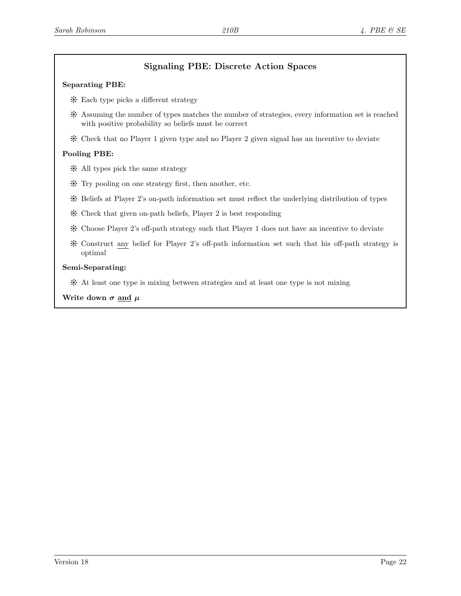## Signaling PBE: Discrete Action Spaces

#### Separating PBE:

- Y Each type picks a different strategy
- Y Assuming the number of types matches the number of strategies, every information set is reached with positive probability so beliefs must be correct
- Y Check that no Player 1 given type and no Player 2 given signal has an incentive to deviate

#### Pooling PBE:

- $*$  All types pick the same strategy
- $*$  Try pooling on one strategy first, then another, etc.
- Y Beliefs at Player 2's on-path information set must reflect the underlying distribution of types
- $*$  Check that given on-path beliefs, Player 2 is best responding
- Y Choose Player 2's off-path strategy such that Player 1 does not have an incentive to deviate
- Y Construct any belief for Player 2's off-path information set such that his off-path strategy is optimal

#### Semi-Separating:

Y At least one type is mixing between strategies and at least one type is not mixing

#### Write down  $\sigma$  and  $\mu$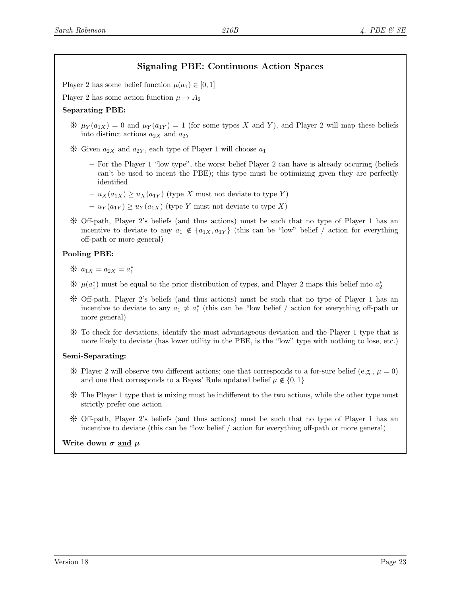## Signaling PBE: Continuous Action Spaces

Player 2 has some belief function  $\mu(a_1) \in [0,1]$ 

Player 2 has some action function  $\mu \rightarrow A_2$ 

#### Separating PBE:

 $\mathscr{H} \mu_Y(a_{1X}) = 0$  and  $\mu_Y(a_{1Y}) = 1$  (for some types X and Y), and Player 2 will map these beliefs into distinct actions  $a_{2X}$  and  $a_{2Y}$ 

 $\mathcal K$  Given  $a_{2X}$  and  $a_{2Y}$ , each type of Player 1 will choose  $a_1$ 

- For the Player 1 "low type", the worst belief Player 2 can have is already occuring (beliefs can't be used to incent the PBE); this type must be optimizing given they are perfectly identified
- $u_X(a_{1X}) \ge u_X(a_{1Y})$  (type X must not deviate to type Y)
- $u_Y(a_{1Y}) \ge u_Y(a_{1X})$  (type Y must not deviate to type X)
- $\mathcal K$  Off-path, Player 2's beliefs (and thus actions) must be such that no type of Player 1 has an incentive to deviate to any  $a_1 \notin \{a_{1X}, a_{1Y}\}\$  (this can be "low" belief / action for everything off-path or more general)

#### Pooling PBE:

\*  $a_{1X} = a_{2X} = a_1^*$ 

- $\mathcal{H}$  μ(a<sup>\*</sup><sub>1</sub>) must be equal to the prior distribution of types, and Player 2 maps this belief into a<sup>\*</sup><sub>2</sub>
- Y Off-path, Player 2's beliefs (and thus actions) must be such that no type of Player 1 has an incentive to deviate to any  $a_1 \neq a_1^*$  (this can be "low belief / action for everything off-path or more general)
- Y To check for deviations, identify the most advantageous deviation and the Player 1 type that is more likely to deviate (has lower utility in the PBE, is the "low" type with nothing to lose, etc.)

#### Semi-Separating:

- $\mathcal K$  Player 2 will observe two different actions; one that corresponds to a for-sure belief (e.g.,  $\mu = 0$ ) and one that corresponds to a Bayes' Rule updated belief  $\mu \notin \{0, 1\}$
- Y The Player 1 type that is mixing must be indifferent to the two actions, while the other type must strictly prefer one action
- $\hat{X}$  Off-path, Player 2's beliefs (and thus actions) must be such that no type of Player 1 has an incentive to deviate (this can be "low belief / action for everything off-path or more general)

Write down  $\sigma$  and  $\mu$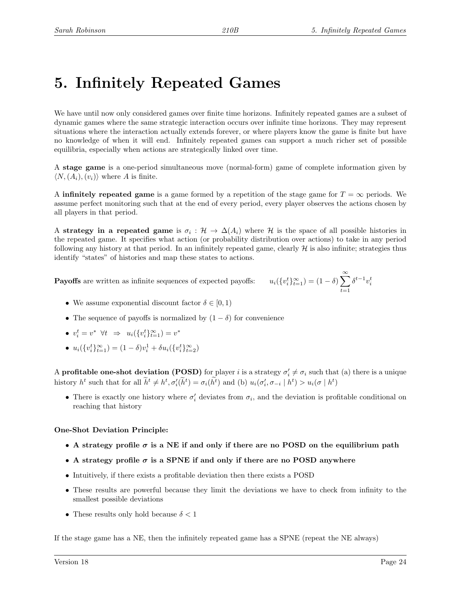# 5. Infinitely Repeated Games

We have until now only considered games over finite time horizons. Infinitely repeated games are a subset of dynamic games where the same strategic interaction occurs over infinite time horizons. They may represent situations where the interaction actually extends forever, or where players know the game is finite but have no knowledge of when it will end. Infinitely repeated games can support a much richer set of possible equilibria, especially when actions are strategically linked over time.

A stage game is a one-period simultaneous move (normal-form) game of complete information given by  $\langle N,(A_i),(v_i)\rangle$  where A is finite.

A **infinitely repeated game** is a game formed by a repetition of the stage game for  $T = \infty$  periods. We assume perfect monitoring such that at the end of every period, every player observes the actions chosen by all players in that period.

A strategy in a repeated game is  $\sigma_i$  :  $\mathcal{H} \to \Delta(A_i)$  where  $\mathcal{H}$  is the space of all possible histories in the repeated game. It specifies what action (or probability distribution over actions) to take in any period following any history at that period. In an infinitely repeated game, clearly  $\mathcal H$  is also infinite; strategies thus identify "states" of histories and map these states to actions.

**Payoffs** are written as infinite sequences of expected payoffs:  $u_i$  ({

$$
[v_i^t\}_{i=1}^{\infty}) = (1 - \delta) \sum_{t=1}^{\infty} \delta^{t-1} v_i^t
$$

- We assume exponential discount factor  $\delta \in [0,1)$
- The sequence of payoffs is normalized by  $(1 \delta)$  for convenience
- $v_i^t = v^* \ \forall t \ \Rightarrow \ u_i(\{v_i^t\}_{t=1}^{\infty}) = v^*$
- $u_i({v_i^t}_{t=1}^{\infty}) = (1 \delta)v_i^1 + \delta u_i({v_i^t}_{t=2}^{\infty})$

A profitable one-shot deviation (POSD) for player *i* is a strategy  $\sigma'_i \neq \sigma_i$  such that (a) there is a unique history  $h^t$  such that for all  $\tilde{h}^t \neq h^t, \sigma'_i(\tilde{h}^t) = \sigma_i(h^t)$  and (b)  $u_i(\sigma'_i, \sigma_{-i} | h^t) > u_i(\sigma | h^t)$ 

• There is exactly one history where  $\sigma'_i$  deviates from  $\sigma_i$ , and the deviation is profitable conditional on reaching that history

#### One-Shot Deviation Principle:

- A strategy profile  $\sigma$  is a NE if and only if there are no POSD on the equilibrium path
- A strategy profile  $\sigma$  is a SPNE if and only if there are no POSD anywhere
- Intuitively, if there exists a profitable deviation then there exists a POSD
- These results are powerful because they limit the deviations we have to check from infinity to the smallest possible deviations
- These results only hold because  $\delta < 1$

If the stage game has a NE, then the infinitely repeated game has a SPNE (repeat the NE always)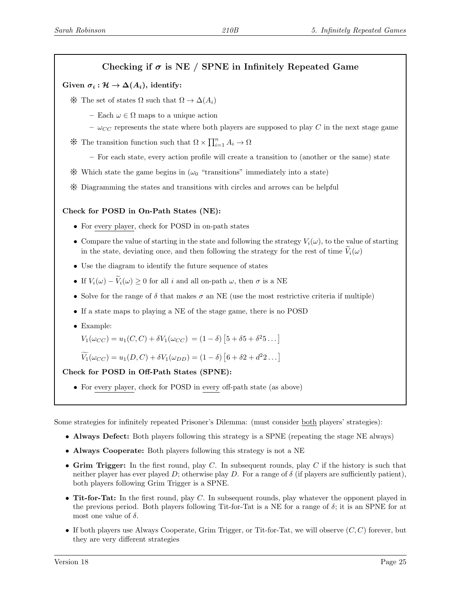## Checking if  $\sigma$  is NE / SPNE in Infinitely Repeated Game

### Given  $\sigma_i : \mathcal{H} \to \Delta(A_i)$ , identify:

- $\mathcal$  The set of states Ω such that  $\Omega \to \Delta(A_i)$ 
	- Each  $\omega \in \Omega$  maps to a unique action
	- $\omega_{CC}$  represents the state where both players are supposed to play C in the next stage game
- $*$  The transition function such that Ω  $\times \prod_{i=1}^{n} A_i \to Ω$ 
	- For each state, every action profile will create a transition to (another or the same) state
- $\mathcal$  Which state the game begins in  $(\omega_0$  "transitions" immediately into a state)
- Y Diagramming the states and transitions with circles and arrows can be helpful

#### Check for POSD in On-Path States (NE):

- For every player, check for POSD in on-path states
- Compare the value of starting in the state and following the strategy  $V_i(\omega)$ , to the value of starting in the state, deviating once, and then following the strategy for the rest of time  $V_i(\omega)$
- Use the diagram to identify the future sequence of states
- If  $V_i(\omega) \widetilde{V}_i(\omega) \geq 0$  for all i and all on-path  $\omega$ , then  $\sigma$  is a NE
- Solve for the range of  $\delta$  that makes  $\sigma$  an NE (use the most restrictive criteria if multiple)
- If a state maps to playing a NE of the stage game, there is no POSD
- Example:

$$
V_1(\omega_{CC}) = u_1(C, C) + \delta V_1(\omega_{CC}) = (1 - \delta) [5 + \delta 5 + \delta^2 5...]
$$

$$
\widetilde{V_1}(\omega_{CC}) = u_1(D, C) + \delta V_1(\omega_{DD}) = (1 - \delta) [6 + \delta 2 + d^2 2 \dots]
$$

#### Check for POSD in Off-Path States (SPNE):

• For every player, check for POSD in every off-path state (as above)

Some strategies for infinitely repeated Prisoner's Dilemma: (must consider both players' strategies):

- Always Defect: Both players following this strategy is a SPNE (repeating the stage NE always)
- Always Cooperate: Both players following this strategy is not a NE
- Grim Trigger: In the first round, play  $C$ . In subsequent rounds, play  $C$  if the history is such that neither player has ever played D; otherwise play D. For a range of  $\delta$  (if players are sufficiently patient), both players following Grim Trigger is a SPNE.
- Tit-for-Tat: In the first round, play  $C$ . In subsequent rounds, play whatever the opponent played in the previous period. Both players following Tit-for-Tat is a NE for a range of  $\delta$ ; it is an SPNE for at most one value of  $\delta$ .
- If both players use Always Cooperate, Grim Trigger, or Tit-for-Tat, we will observe  $(C, C)$  forever, but they are very different strategies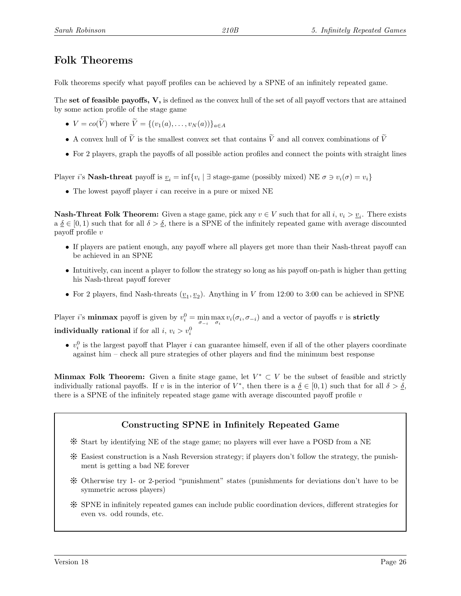## Folk Theorems

Folk theorems specify what payoff profiles can be achieved by a SPNE of an infinitely repeated game.

The set of feasible payoffs,  $V$ , is defined as the convex hull of the set of all payoff vectors that are attained by some action profile of the stage game

- $V = co(\widetilde{V})$  where  $\widetilde{V} = \{(v_1(a), \ldots, v_N(a))\}_{a \in A}$
- A convex hull of  $\tilde{V}$  is the smallest convex set that contains  $\tilde{V}$  and all convex combinations of  $\tilde{V}$
- For 2 players, graph the payoffs of all possible action profiles and connect the points with straight lines

Player *i*'s **Nash-threat** payoff is  $v_i = \inf\{v_i \mid \exists \text{ stage-game (possibly mixed}) \text{ NE } \sigma \ni v_i(\sigma) = v_i\}$ 

• The lowest payoff player  $i$  can receive in a pure or mixed NE

**Nash-Threat Folk Theorem:** Given a stage game, pick any  $v \in V$  such that for all  $i, v_i > \underline{v}_i$ . There exists  $a \underline{\delta} \in [0,1)$  such that for all  $\delta > \underline{\delta}$ , there is a SPNE of the infinitely repeated game with average discounted payoff profile v

- If players are patient enough, any payoff where all players get more than their Nash-threat payoff can be achieved in an SPNE
- Intuitively, can incent a player to follow the strategy so long as his payoff on-path is higher than getting his Nash-threat payoff forever
- For 2 players, find Nash-threats  $(\underline{v}_1, \underline{v}_2)$ . Anything in V from 12:00 to 3:00 can be achieved in SPNE

Player *i*'s **minmax** payoff is given by  $v_i^0 = \min_{\sigma_{-i}} \max_{\sigma_i} v_i(\sigma_i, \sigma_{-i})$  and a vector of payoffs v is **strictly individually rational** if for all  $i, v_i > v_i^0$ 

•  $v_i^0$  is the largest payoff that Player *i* can guarantee himself, even if all of the other players coordinate against him – check all pure strategies of other players and find the minimum best response

Minmax Folk Theorem: Given a finite stage game, let  $V^* \subset V$  be the subset of feasible and strictly individually rational payoffs. If v is in the interior of  $V^*$ , then there is a  $\delta \in [0,1)$  such that for all  $\delta > \delta$ , there is a SPNE of the infinitely repeated stage game with average discounted payoff profile  $v$ 

### Constructing SPNE in Infinitely Repeated Game

- Y Start by identifying NE of the stage game; no players will ever have a POSD from a NE
- Y Easiest construction is a Nash Reversion strategy; if players don't follow the strategy, the punishment is getting a bad NE forever
- Y Otherwise try 1- or 2-period "punishment" states (punishments for deviations don't have to be symmetric across players)
- Y SPNE in infinitely repeated games can include public coordination devices, different strategies for even vs. odd rounds, etc.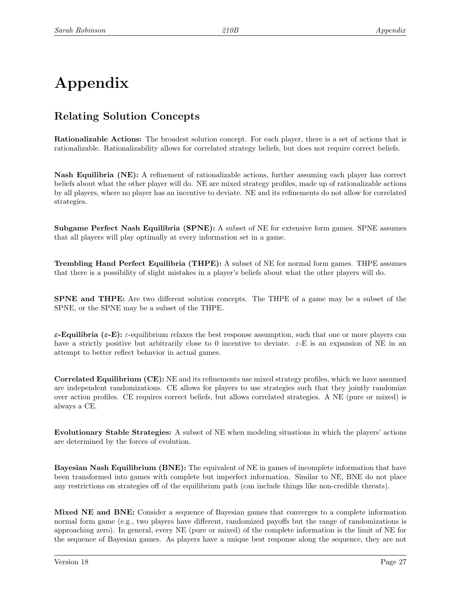# Appendix

# Relating Solution Concepts

Rationalizable Actions: The broadest solution concept. For each player, there is a set of actions that is rationalizable. Rationalizability allows for correlated strategy beliefs, but does not require correct beliefs.

Nash Equilibria (NE): A refinement of rationalizable actions, further assuming each player has correct beliefs about what the other player will do. NE are mixed strategy profiles, made up of rationalizable actions by all players, where no player has an incentive to deviate. NE and its refinements do not allow for correlated strategies.

Subgame Perfect Nash Equilibria (SPNE): A subset of NE for extensive form games. SPNE assumes that all players will play optimally at every information set in a game.

Trembling Hand Perfect Equilibria (THPE): A subset of NE for normal form games. THPE assumes that there is a possibility of slight mistakes in a player's beliefs about what the other players will do.

SPNE and THPE: Are two different solution concepts. The THPE of a game may be a subset of the SPNE, or the SPNE may be a subset of the THPE.

 $\varepsilon$ -Equilibria ( $\varepsilon$ -E):  $\varepsilon$ -equilibrium relaxes the best response assumption, such that one or more players can have a strictly positive but arbitrarily close to 0 incentive to deviate.  $\varepsilon$ -E is an expansion of NE in an attempt to better reflect behavior in actual games.

Correlated Equilibrium (CE): NE and its refinements use mixed strategy profiles, which we have assumed are independent randomizations. CE allows for players to use strategies such that they jointly randomize over action profiles. CE requires correct beliefs, but allows correlated strategies. A NE (pure or mixed) is always a CE.

Evolutionary Stable Strategies: A subset of NE when modeling situations in which the players' actions are determined by the forces of evolution.

Bayesian Nash Equilibrium (BNE): The equivalent of NE in games of incomplete information that have been transformed into games with complete but imperfect information. Similar to NE, BNE do not place any restrictions on strategies off of the equilibrium path (can include things like non-credible threats).

Mixed NE and BNE: Consider a sequence of Bayesian games that converges to a complete information normal form game (e.g., two players have different, randomized payoffs but the range of randomizations is approaching zero). In general, every NE (pure or mixed) of the complete information is the limit of NE for the sequence of Bayesian games. As players have a unique best response along the sequence, they are not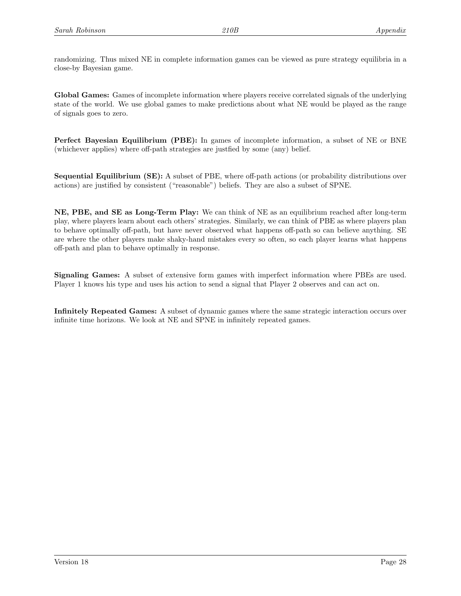randomizing. Thus mixed NE in complete information games can be viewed as pure strategy equilibria in a close-by Bayesian game.

Global Games: Games of incomplete information where players receive correlated signals of the underlying state of the world. We use global games to make predictions about what NE would be played as the range of signals goes to zero.

Perfect Bayesian Equilibrium (PBE): In games of incomplete information, a subset of NE or BNE (whichever applies) where off-path strategies are justfied by some (any) belief.

Sequential Equilibrium (SE): A subset of PBE, where off-path actions (or probability distributions over actions) are justified by consistent ("reasonable") beliefs. They are also a subset of SPNE.

NE, PBE, and SE as Long-Term Play: We can think of NE as an equilibrium reached after long-term play, where players learn about each others' strategies. Similarly, we can think of PBE as where players plan to behave optimally off-path, but have never observed what happens off-path so can believe anything. SE are where the other players make shaky-hand mistakes every so often, so each player learns what happens off-path and plan to behave optimally in response.

Signaling Games: A subset of extensive form games with imperfect information where PBEs are used. Player 1 knows his type and uses his action to send a signal that Player 2 observes and can act on.

Infinitely Repeated Games: A subset of dynamic games where the same strategic interaction occurs over infinite time horizons. We look at NE and SPNE in infinitely repeated games.